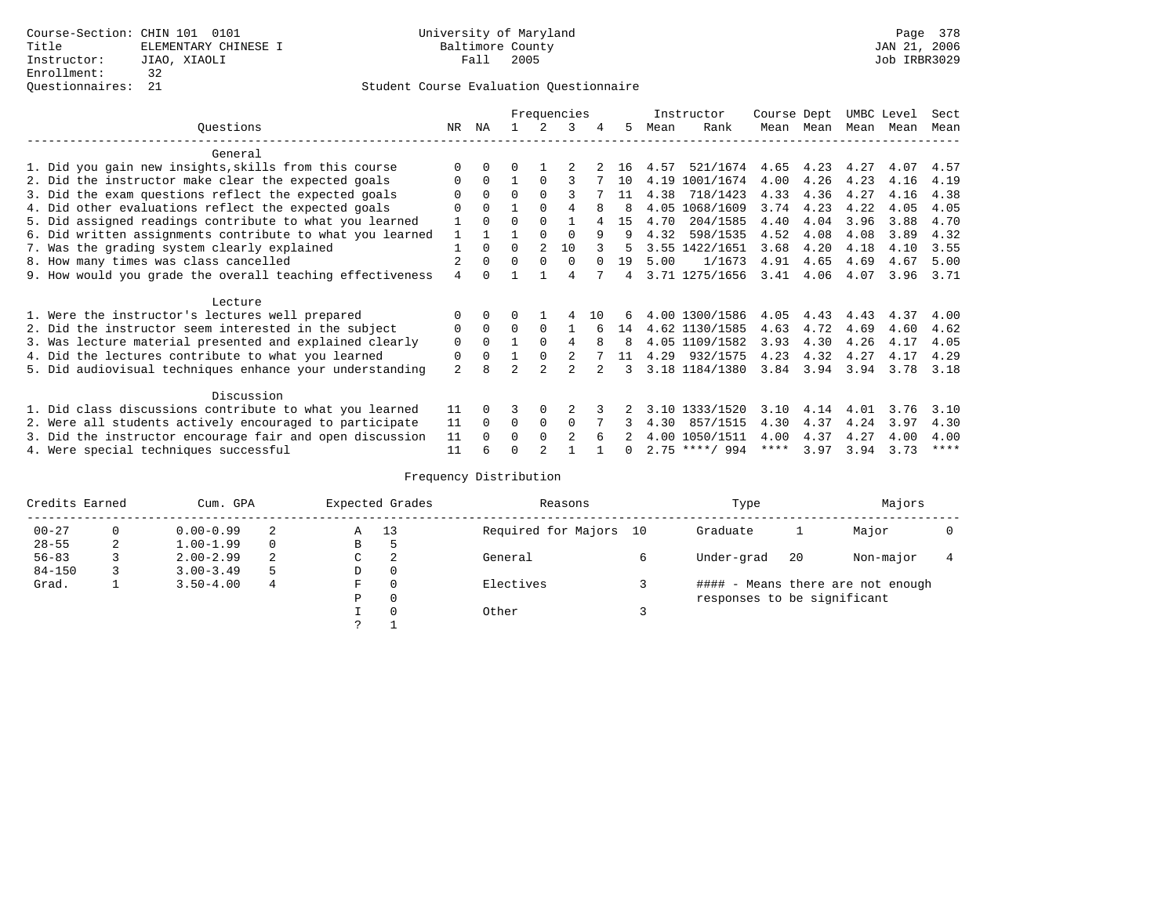|                                                           |                |          | Frequencies |                |                |        |              |      | Instructor       | Course Dept |      | UMBC Level |      | Sect        |
|-----------------------------------------------------------|----------------|----------|-------------|----------------|----------------|--------|--------------|------|------------------|-------------|------|------------|------|-------------|
| Ouestions                                                 | NR.            | ΝA       |             |                | 3              | 4      | 5.           | Mean | Rank             | Mean        | Mean | Mean       | Mean | Mean        |
| General                                                   |                |          |             |                |                |        |              |      |                  |             |      |            |      |             |
|                                                           | $\Omega$       | $\Omega$ | U           |                |                |        | 16           | 4.57 | 521/1674         | 4.65        | 4.23 | 4.27       | 4.07 | 4.57        |
| 1. Did you gain new insights, skills from this course     |                |          |             |                |                |        |              |      |                  |             |      |            |      |             |
| 2. Did the instructor make clear the expected goals       | 0              | $\Omega$ |             | $\Omega$       |                |        | 10           |      | 4.19 1001/1674   | 4.00        | 4.26 | 4.23       | 4.16 | 4.19        |
| 3. Did the exam questions reflect the expected goals      |                | $\Omega$ | $\Omega$    | $\Omega$       |                |        | 11           | 4.38 | 718/1423         | 4.33        | 4.36 | 4.27       | 4.16 | 4.38        |
| 4. Did other evaluations reflect the expected goals       | O              | $\Omega$ |             | $\Omega$       |                | 8      | <sup>8</sup> | 4.05 | 1068/1609        | 3.74        | 4.23 | 4.22       | 4.05 | 4.05        |
| 5. Did assigned readings contribute to what you learned   | 1              | $\Omega$ | $\Omega$    | $\Omega$       |                |        | 15           | 4.70 | 204/1585         | 4.40        | 4.04 | 3.96       | 3.88 | 4.70        |
| 6. Did written assignments contribute to what you learned | $\mathbf{1}$   |          |             |                | $\Omega$       | 9      | q            | 4.32 | 598/1535         | 4.52        | 4.08 | 4.08       | 3.89 | 4.32        |
| 7. Was the grading system clearly explained               |                | $\Omega$ | $\Omega$    | $\mathfrak{D}$ | 10             |        | 5.           |      | 3.55 1422/1651   | 3.68        | 4.20 | 4.18       | 4.10 | 3.55        |
| 8. How many times was class cancelled                     |                | $\Omega$ | $\Omega$    | $\Omega$       | $\Omega$       | $\cap$ | 19           | 5.00 | 1/1673           | 4.91        | 4.65 | 4.69       | 4.67 | 5.00        |
| 9. How would you grade the overall teaching effectiveness | $\overline{4}$ | $\cap$   |             |                | 4              |        | 4            |      | 3.71 1275/1656   | 3.41        | 4.06 | 4.07       | 3.96 | 3.71        |
| Lecture                                                   |                |          |             |                |                |        |              |      |                  |             |      |            |      |             |
|                                                           |                |          |             |                |                |        |              |      | 4.00 1300/1586   |             |      |            |      |             |
| 1. Were the instructor's lectures well prepared           | $\Omega$       |          |             |                |                | 10     | 6            |      |                  | 4.05        | 4.43 | 4.43       | 4.37 | 4.00        |
| 2. Did the instructor seem interested in the subject      | 0              | $\Omega$ | $\Omega$    | $\Omega$       |                |        | 14           |      | 4.62 1130/1585   | 4.63        | 4.72 | 4.69       | 4.60 | 4.62        |
| 3. Was lecture material presented and explained clearly   | $\mathbf 0$    | $\Omega$ |             | $\Omega$       | 4              | 8      | 8            |      | 4.05 1109/1582   | 3.93        | 4.30 | 4.26       | 4.17 | 4.05        |
| 4. Did the lectures contribute to what you learned        | 0              | $\Omega$ |             | $\Omega$       |                |        | 11           | 4.29 | 932/1575         | 4.23        | 4.32 | 4.27       | 4.17 | 4.29        |
| 5. Did audiovisual techniques enhance your understanding  | $\overline{a}$ | я        |             | $\mathcal{D}$  |                |        | 3            |      | 3.18 1184/1380   | 3.84        | 3.94 | 3.94       | 3.78 | 3.18        |
| Discussion                                                |                |          |             |                |                |        |              |      |                  |             |      |            |      |             |
| 1. Did class discussions contribute to what you learned   | 11             | $\Omega$ | 3           | $\Omega$       |                |        |              |      | 3.10 1333/1520   | 3.10        | 4.14 | 4.01       | 3.76 | 3.10        |
| 2. Were all students actively encouraged to participate   |                |          | $\Omega$    | $\mathbf 0$    | $\Omega$       |        |              | 4.30 | 857/1515         | 4.30        | 4.37 | 4.24       | 3.97 | 4.30        |
| 3. Did the instructor encourage fair and open discussion  |                |          | 0           | $\Omega$       | $\mathfrak{D}$ |        |              | 4.00 | 1050/1511        | 4.00        | 4.37 | 4.27       | 4.00 | 4.00        |
| 4. Were special techniques successful                     | 11<br>11       | $\Omega$ |             |                |                |        | <sup>n</sup> |      | $2.75$ ****/ 994 | ****        | 3.97 | 3.94       | 3.73 | $***$ * * * |

| Credits Earned |          | Cum. GPA      |    | Expected Grades | Reasons  | Type                   | Majors                      |     |                                   |  |
|----------------|----------|---------------|----|-----------------|----------|------------------------|-----------------------------|-----|-----------------------------------|--|
| $00 - 27$      | $\Omega$ | $0.00 - 0.99$ | 2  | Α               | 13       | Required for Majors 10 | Graduate                    |     | Major                             |  |
| $28 - 55$      | 2        | $1.00 - 1.99$ |    | В               | 5        |                        |                             |     |                                   |  |
| $56 - 83$      |          | $2.00 - 2.99$ | 2  | C               | 2        | General                | Under-grad                  | -20 | Non-major                         |  |
| $84 - 150$     |          | $3.00 - 3.49$ | .5 | D               | 0        |                        |                             |     |                                   |  |
| Grad.          |          | $3.50 - 4.00$ | 4  | F               | 0        | Electives              |                             |     | #### - Means there are not enough |  |
|                |          |               |    | Ρ               | 0        |                        | responses to be significant |     |                                   |  |
|                |          |               |    |                 | $\Omega$ | Other                  |                             |     |                                   |  |
|                |          |               |    | C               |          |                        |                             |     |                                   |  |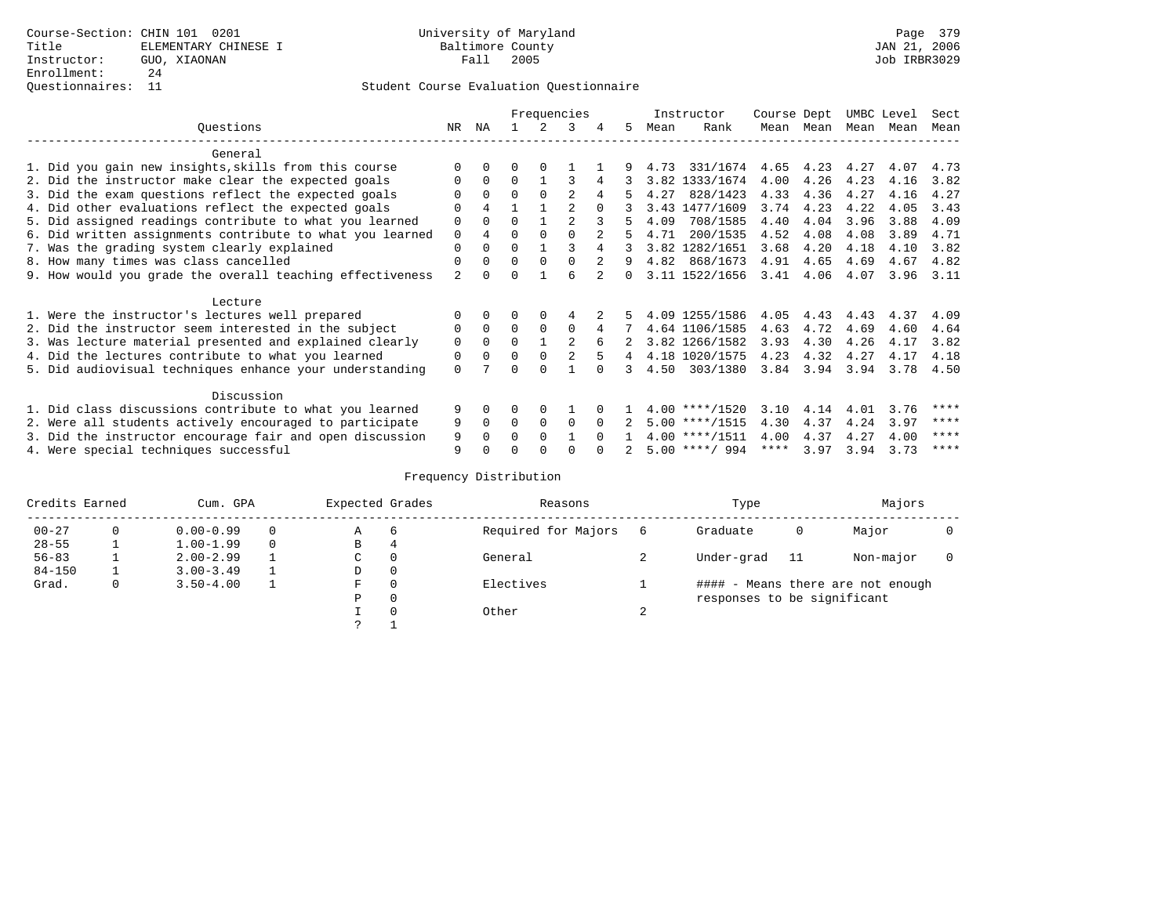#### Questionnaires: 11 Student Course Evaluation Questionnaire

|                                                           | Frequencies |                |          |          |                |          |              |      | Instructor       | Course Dept |      | UMBC Level |      | Sect |
|-----------------------------------------------------------|-------------|----------------|----------|----------|----------------|----------|--------------|------|------------------|-------------|------|------------|------|------|
| Ouestions                                                 | NR.         | ΝA             |          |          | 3              | 4        | 5.           | Mean | Rank             | Mean        | Mean | Mean       | Mean | Mean |
| General                                                   |             |                |          |          |                |          |              |      |                  |             |      |            |      |      |
| 1. Did you gain new insights, skills from this course     |             | $\Omega$       | 0        | $\Omega$ |                |          |              | 4.73 | 331/1674         | 4.65        | 4.23 | 4.27       | 4.07 | 4.73 |
| 2. Did the instructor make clear the expected goals       | O           | $\Omega$       | $\Omega$ |          |                | 4        |              |      | 3.82 1333/1674   | 4.00        | 4.26 | 4.23       | 4.16 | 3.82 |
| 3. Did the exam questions reflect the expected goals      |             | $\Omega$       | $\Omega$ | $\Omega$ | 2              | 4        | 5.           | 4.27 | 828/1423         | 4.33        | 4.36 | 4.27       | 4.16 | 4.27 |
| 4. Did other evaluations reflect the expected goals       | O           | 4              |          |          |                |          |              |      | 3.43 1477/1609   | 3.74        | 4.23 | 4.22       | 4.05 | 3.43 |
| 5. Did assigned readings contribute to what you learned   | $\mathbf 0$ | $\Omega$       | 0        |          | $\mathfrak{D}$ |          |              | 4.09 | 708/1585         | 4.40        | 4.04 | 3.96       | 3.88 | 4.09 |
| 6. Did written assignments contribute to what you learned | $\mathbf 0$ | $\overline{4}$ | $\Omega$ | $\Omega$ |                |          | 5            | 4.71 | 200/1535         | 4.52        | 4.08 | 4.08       | 3.89 | 4.71 |
| 7. Was the grading system clearly explained               | $\Omega$    | $\Omega$       | $\Omega$ |          |                |          |              |      | 3.82 1282/1651   | 3.68        | 4.20 | 4.18       | 4.10 | 3.82 |
| 8. How many times was class cancelled                     | $\Omega$    | $\Omega$       | $\Omega$ | $\Omega$ | $\Omega$       |          | 9            |      | 4.82 868/1673    | 4.91        | 4.65 | 4.69       | 4.67 | 4.82 |
| 9. How would you grade the overall teaching effectiveness | 2           | <sup>n</sup>   | U        |          | ศ              |          | <sup>n</sup> |      | 3.11 1522/1656   | 3.41        | 4.06 | 4.07       | 3.96 | 3.11 |
|                                                           |             |                |          |          |                |          |              |      |                  |             |      |            |      |      |
| Lecture                                                   |             |                |          |          |                |          |              |      |                  |             |      |            |      |      |
| 1. Were the instructor's lectures well prepared           |             |                |          |          |                |          |              |      | 4.09 1255/1586   | 4.05        | 4.43 | 4.43       | 4.37 | 4.09 |
| 2. Did the instructor seem interested in the subject      | 0           | $\Omega$       | $\Omega$ | $\Omega$ | $\Omega$       |          |              |      | 4.64 1106/1585   | 4.63        | 4.72 | 4.69       | 4.60 | 4.64 |
| 3. Was lecture material presented and explained clearly   | $\mathbf 0$ | $\Omega$       | $\Omega$ |          | $\mathfrak{D}$ | 6        |              |      | 3.82 1266/1582   | 3.93        | 4.30 | 4.26       | 4.17 | 3.82 |
| 4. Did the lectures contribute to what you learned        | 0           | $\Omega$       | $\Omega$ | $\Omega$ |                |          | 4            |      | 4.18 1020/1575   | 4.23        | 4.32 | 4.27       | 4.17 | 4.18 |
| 5. Did audiovisual techniques enhance your understanding  | $\Omega$    |                |          |          |                |          |              | 4.50 | 303/1380         | 3.84        | 3.94 | 3.94       | 3.78 | 4.50 |
|                                                           |             |                |          |          |                |          |              |      |                  |             |      |            |      |      |
| Discussion                                                |             |                |          |          |                |          |              |      |                  |             |      |            |      |      |
| 1. Did class discussions contribute to what you learned   |             |                | U        | $\Omega$ |                |          |              |      | $4.00$ ****/1520 | 3.10        | 4.14 | 4.01       | 3.76 | **** |
| 2. Were all students actively encouraged to participate   |             |                | $\Omega$ | $\Omega$ | $\Omega$       | $\Omega$ |              |      | $5.00$ ****/1515 | 4.30        | 4.37 | 4.24       | 3.97 | **** |
| 3. Did the instructor encourage fair and open discussion  |             |                | 0        | $\Omega$ |                | $\cap$   |              |      | $4.00$ ****/1511 | 4.00        | 4.37 | 4.27       | 4.00 | **** |
| 4. Were special techniques successful                     | 9           |                |          |          |                |          |              |      | $5.00$ ****/ 994 | ****        | 3.97 | 3.94       | 3.73 | **** |

| Credits Earned<br>Cum. GPA |          |               | Expected Grades |          | Reasons             |        | Type                        |     | Majors                            |  |  |
|----------------------------|----------|---------------|-----------------|----------|---------------------|--------|-----------------------------|-----|-----------------------------------|--|--|
| $00 - 27$                  | $\Omega$ | $0.00 - 0.99$ | Α               | 6        | Required for Majors | 6      | Graduate                    | 0   | Major                             |  |  |
| $28 - 55$                  | ᅩ        | $1.00 - 1.99$ | В               | 4        |                     |        |                             |     |                                   |  |  |
| $56 - 83$                  |          | $2.00 - 2.99$ | $\sim$<br>◡     | 0        | General             |        | Under-grad                  | -11 | Non-major                         |  |  |
| $84 - 150$                 |          | $3.00 - 3.49$ | D               | 0        |                     |        |                             |     |                                   |  |  |
| Grad.                      | 0        | $3.50 - 4.00$ | F               | 0        | Electives           |        |                             |     | #### - Means there are not enough |  |  |
|                            |          |               | Ρ               | 0        |                     |        | responses to be significant |     |                                   |  |  |
|                            |          |               |                 | $\Omega$ | Other               | $\sim$ |                             |     |                                   |  |  |
|                            |          |               | C               |          |                     |        |                             |     |                                   |  |  |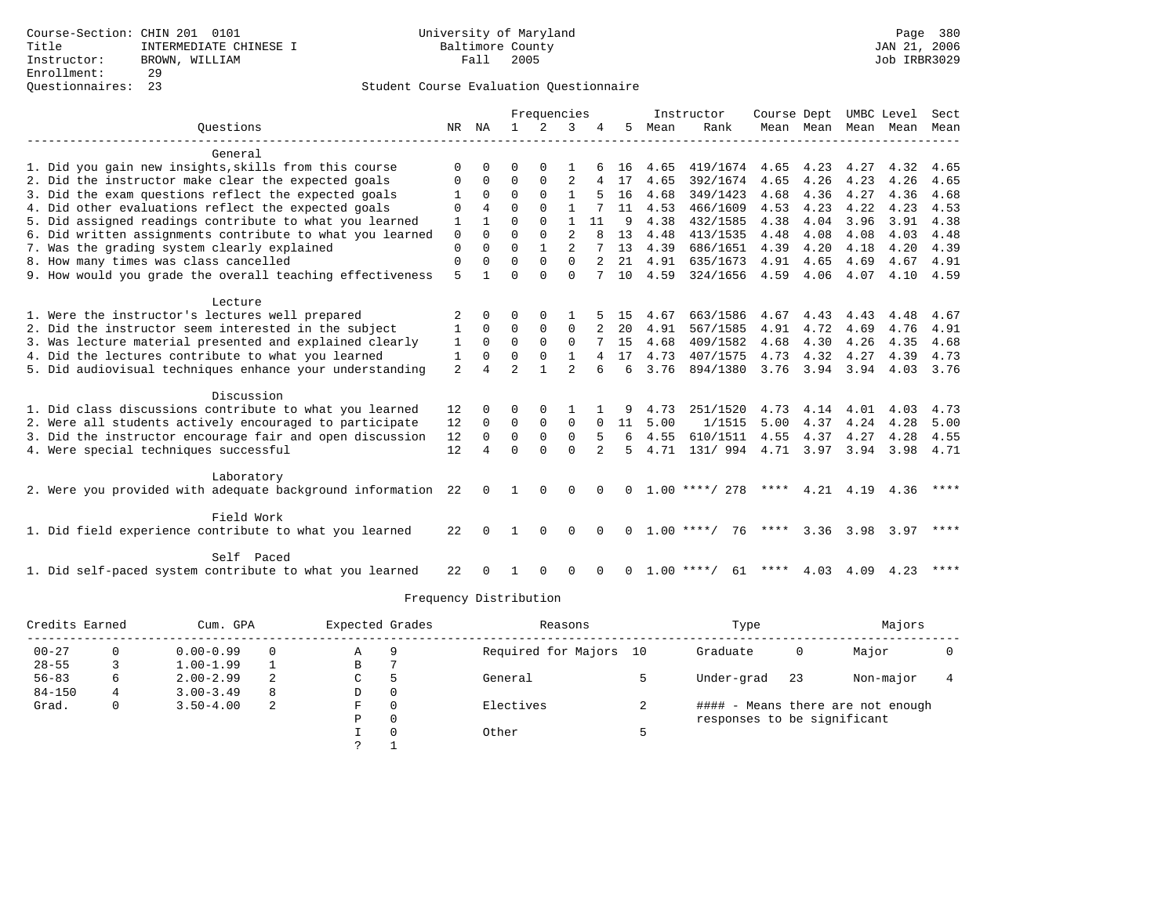|                                                                       |                |              |                | Frequencies  |                |          |              |      | Instructor         | Course Dept |           |           | UMBC Level | Sect |
|-----------------------------------------------------------------------|----------------|--------------|----------------|--------------|----------------|----------|--------------|------|--------------------|-------------|-----------|-----------|------------|------|
| Ouestions                                                             | NR             | NA           | $\mathbf{1}$   | 2            | 3              |          | 5.           | Mean | Rank               |             | Mean Mean | Mean      | Mean       | Mean |
|                                                                       |                |              |                |              |                |          |              |      |                    |             |           |           |            |      |
| General                                                               |                |              |                |              |                |          |              |      |                    |             |           |           |            |      |
| 1. Did you gain new insights, skills from this course                 | ∩              |              | U              | ∩            |                |          | 16           | 4.65 | 419/1674           | 4.65        | 4.23      | 4.27      | 4.32       | 4.65 |
| 2. Did the instructor make clear the expected goals                   | $\Omega$       | $\Omega$     | $\Omega$       | $\Omega$     | 2              | 4        | 17           | 4.65 | 392/1674           | 4.65        | 4.26      | 4.23      | 4.26       | 4.65 |
| 3. Did the exam questions reflect the expected goals                  |                | $\Omega$     | $\Omega$       | $\Omega$     |                |          | 16           | 4.68 | 349/1423           | 4.68        | 4.36      | 4.27      | 4.36       | 4.68 |
| 4. Did other evaluations reflect the expected goals                   | $\Omega$       | 4            | $\Omega$       | $\Omega$     |                |          | 11           | 4.53 | 466/1609           | 4.53        | 4.23      | 4.22      | 4.23       | 4.53 |
| 5. Did assigned readings contribute to what you learned               | $\mathbf{1}$   | $\mathbf{1}$ | $\Omega$       | $\Omega$     | $\mathbf{1}$   | 11       | 9            | 4.38 | 432/1585           | 4.38        | 4.04      | 3.96      | 3.91       | 4.38 |
| 6. Did written assignments contribute to what you learned             | $\mathbf 0$    | $\Omega$     | $\Omega$       | $\Omega$     | $\overline{a}$ | 8        | 13           | 4.48 | 413/1535           | 4.48        | 4.08      | 4.08      | 4.03       | 4.48 |
| 7. Was the grading system clearly explained                           | $\mathbf 0$    | $\Omega$     | $\Omega$       | $\mathbf{1}$ | $\overline{a}$ |          | 13           | 4.39 | 686/1651           | 4.39        | 4.20      | 4.18      | 4.20       | 4.39 |
| 8. How many times was class cancelled                                 | $\mathbf 0$    | $\Omega$     | $\Omega$       | 0            | $\mathbf 0$    |          | 21           | 4.91 | 635/1673           | 4.91        | 4.65      | 4.69      | 4.67       | 4.91 |
| 9. How would you grade the overall teaching effectiveness             | 5              |              | $\Omega$       | $\Omega$     | $\Omega$       |          | 10           | 4.59 | 324/1656           | 4.59        | 4.06      | 4.07      | 4.10 4.59  |      |
| Lecture                                                               |                |              |                |              |                |          |              |      |                    |             |           |           |            |      |
| 1. Were the instructor's lectures well prepared                       |                | 0            | O              | $\Omega$     |                |          | 15           | 4.67 | 663/1586           | 4.67        | 4.43      | 4.43      | 4.48       | 4.67 |
| 2. Did the instructor seem interested in the subject                  |                | $\Omega$     | $\Omega$       | $\Omega$     | $\Omega$       |          | 20           | 4.91 | 567/1585           | 4.91        | 4.72      | 4.69      | 4.76       | 4.91 |
| 3. Was lecture material presented and explained clearly               | 1              | $\Omega$     | $\Omega$       | $\Omega$     | $\Omega$       |          | 15           | 4.68 | 409/1582           | 4.68        | 4.30      | 4.26      | 4.35       | 4.68 |
| 4. Did the lectures contribute to what you learned                    | 1              | $\Omega$     | $\Omega$       | $\Omega$     | $\mathbf{1}$   | 4        | 17           | 4.73 | 407/1575           | 4.73        | 4.32      | 4.27      | 4.39       | 4.73 |
| 5. Did audiovisual techniques enhance your understanding              | $\overline{2}$ | 4            | $\mathfrak{D}$ | 1            | $\mathfrak{D}$ | 6        | 6            | 3.76 | 894/1380           | 3.76        | 3.94      | 3.94      | 4.03       | 3.76 |
|                                                                       |                |              |                |              |                |          |              |      |                    |             |           |           |            |      |
| Discussion                                                            |                |              |                |              |                |          |              |      |                    |             |           |           |            |      |
| 1. Did class discussions contribute to what you learned               | 12             | 0            | O              | $\Omega$     |                |          |              | 4.73 | 251/1520           | 4.73        | 4.14      | 4.01      | 4.03       | 4.73 |
| 2. Were all students actively encouraged to participate               | 12             | $\Omega$     | $\Omega$       | $\Omega$     | $\Omega$       | $\Omega$ | 11           | 5.00 | 1/1515             | 5.00        | 4.37      | 4.24      | 4.28       | 5.00 |
| 3. Did the instructor encourage fair and open discussion              | 12             | $\Omega$     | $\Omega$       | $\Omega$     | $\Omega$       |          | 6            | 4.55 | 610/1511           | 4.55        | 4.37      | 4.27      | 4.28       | 4.55 |
| 4. Were special techniques successful                                 | 12             |              | $\Omega$       | $\Omega$     | $\Omega$       |          | 5            | 4.71 | 131/ 994           |             | 4.71 3.97 | 3.94      | 3.98       | 4.71 |
| Laboratory                                                            |                |              |                |              |                |          |              |      |                    |             |           |           |            |      |
| 2. Were you provided with adequate background information             | 22             | $\Omega$     | -1.            | $\Omega$     | $\mathbf 0$    | $\Omega$ | 0            |      | $1.00$ ****/ 278   | ****        |           | 4.21 4.19 | 4.36       |      |
|                                                                       |                |              |                |              |                |          |              |      |                    |             |           |           |            |      |
| Field Work                                                            |                |              |                |              |                |          |              |      |                    |             |           |           |            |      |
| 1. Did field experience contribute to what you learned                | 22             | $\Omega$     | 1              | $\Omega$     | $\Omega$       | $\Omega$ | 0            |      | $1.00$ ****/<br>76 | ****        | 3.36      | 3.98      | 3.97       | **** |
|                                                                       |                |              |                |              |                |          |              |      |                    |             |           |           |            |      |
| Self Paced<br>1. Did self-paced system contribute to what you learned | 22             |              |                |              | ∩              |          | <sup>n</sup> |      | $1.00$ ****/<br>61 | ****        | 4.03      | 4.09      | 4.23       |      |
|                                                                       |                |              |                |              |                |          |              |      |                    |             |           |           |            |      |

|            | Credits Earned<br>Cum. GPA |               |          | Expected Grades |              | Reasons                | Type                        |    | Majors                            |  |  |
|------------|----------------------------|---------------|----------|-----------------|--------------|------------------------|-----------------------------|----|-----------------------------------|--|--|
| $00 - 27$  |                            | $0.00 - 0.99$ | $\Omega$ | Α               | 9            | Required for Majors 10 | Graduate                    | 0  | Major                             |  |  |
| $28 - 55$  |                            | $1.00 - 1.99$ |          | В               |              |                        |                             |    |                                   |  |  |
| $56 - 83$  | 6                          | $2.00 - 2.99$ | 2        | C               |              | General                | Under-grad                  | 23 | Non-major                         |  |  |
| $84 - 150$ | 4                          | $3.00 - 3.49$ | 8        | D               | 0            |                        |                             |    |                                   |  |  |
| Grad.      | 0                          | $3.50 - 4.00$ | 2        | F               | 0            | Electives              |                             |    | #### - Means there are not enough |  |  |
|            |                            |               |          | Ρ               | $\mathbf{0}$ |                        | responses to be significant |    |                                   |  |  |
|            |                            |               |          |                 | 0            | Other                  |                             |    |                                   |  |  |
|            |                            |               |          | っ               |              |                        |                             |    |                                   |  |  |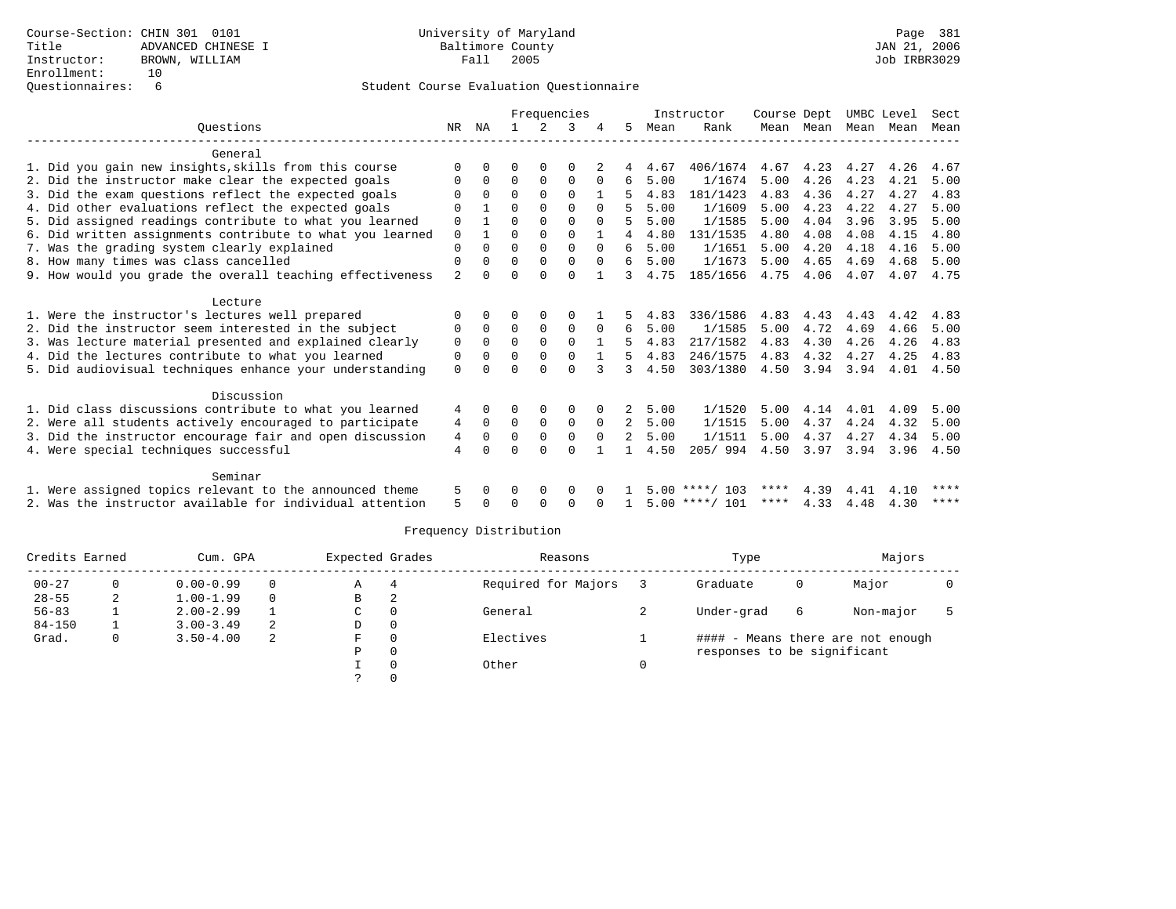|                                                           | Frequencies    |              |          |               |             |              |                |      | Instructor       | Course Dept |           | UMBC Level |      | Sect |
|-----------------------------------------------------------|----------------|--------------|----------|---------------|-------------|--------------|----------------|------|------------------|-------------|-----------|------------|------|------|
| Ouestions                                                 | NR             | ΝA           |          | $\mathcal{L}$ | 3           |              | 5              | Mean | Rank             |             | Mean Mean | Mean Mean  |      | Mean |
|                                                           |                |              |          |               |             |              |                |      |                  |             |           |            |      |      |
| General                                                   |                |              |          |               |             |              |                |      |                  |             |           |            |      |      |
| 1. Did you gain new insights, skills from this course     | <sup>0</sup>   |              | U        | $\Omega$      | O           |              | 4              | 4.67 | 406/1674         | 4.67        | 4.23      | 4.27       | 4.26 | 4.67 |
| 2. Did the instructor make clear the expected goals       | 0              | 0            | 0        | $\Omega$      | 0           | 0            | 6              | 5.00 | 1/1674           | 5.00        | 4.26      | 4.23       | 4.21 | 5.00 |
| 3. Did the exam questions reflect the expected goals      |                | $\Omega$     | $\Omega$ | $\Omega$      | $\Omega$    |              |                | 4.83 | 181/1423         | 4.83        | 4.36      | 4.27       | 4.27 | 4.83 |
| 4. Did other evaluations reflect the expected goals       | U              |              | 0        | $\Omega$      | $\Omega$    | $\Omega$     |                | 5.00 | 1/1609           | 5.00        | 4.23      | 4.22       | 4.27 | 5.00 |
| 5. Did assigned readings contribute to what you learned   | 0              |              | 0        | $\Omega$      | $\Omega$    | $\Omega$     | 5              | 5.00 | 1/1585           | 5.00        | 4.04      | 3.96       | 3.95 | 5.00 |
| 6. Did written assignments contribute to what you learned | 0              | $\mathbf{1}$ | $\Omega$ | $\Omega$      | $\Omega$    | $\mathbf{1}$ | 4              | 4.80 | 131/1535         | 4.80        | 4.08      | 4.08       | 4.15 | 4.80 |
| 7. Was the grading system clearly explained               | 0              | 0            | 0        | $\mathbf 0$   | 0           | $\Omega$     | 6              | 5.00 | 1/1651           | 5.00        | 4.20      | 4.18       | 4.16 | 5.00 |
| 8. How many times was class cancelled                     | 0              | $\Omega$     | $\Omega$ | $\Omega$      | $\Omega$    | $\Omega$     | 6              | 5.00 | 1/1673           | 5.00        | 4.65      | 4.69       | 4.68 | 5.00 |
| 9. How would you grade the overall teaching effectiveness | $\overline{a}$ | 0            |          | U             | $\Omega$    |              | 3              | 4.75 | 185/1656         | 4.75        | 4.06      | 4.07       | 4.07 | 4.75 |
|                                                           |                |              |          |               |             |              |                |      |                  |             |           |            |      |      |
| Lecture                                                   |                |              |          |               |             |              |                |      |                  |             |           |            |      |      |
| 1. Were the instructor's lectures well prepared           | O              | 0            |          | 0             | 0           |              | 5              | 4.83 | 336/1586         | 4.83        | 4.43      | 4.43       | 4.42 | 4.83 |
| 2. Did the instructor seem interested in the subject      | 0              | $\Omega$     | $\Omega$ | $\Omega$      | $\Omega$    | $\Omega$     | 6              | 5.00 | 1/1585           | 5.00        | 4.72      | 4.69       | 4.66 | 5.00 |
| 3. Was lecture material presented and explained clearly   | 0              | $\Omega$     | $\Omega$ | $\Omega$      | $\Omega$    |              | 5              | 4.83 | 217/1582         | 4.83        | 4.30      | 4.26       | 4.26 | 4.83 |
| 4. Did the lectures contribute to what you learned        | $\Omega$       | $\Omega$     | $\Omega$ | $\Omega$      | $\Omega$    |              | 5              | 4.83 | 246/1575         | 4.83        | 4.32      | 4.27       | 4.25 | 4.83 |
| 5. Did audiovisual techniques enhance your understanding  | 0              |              |          | $\Omega$      | $\Omega$    |              |                | 4.50 | 303/1380         | 4.50        | 3.94      | 3.94       | 4.01 | 4.50 |
| Discussion                                                |                |              |          |               |             |              |                |      |                  |             |           |            |      |      |
| 1. Did class discussions contribute to what you learned   | 4              | $\Omega$     | U        | $\Omega$      | $\Omega$    |              | 2.             | 5.00 | 1/1520           | 5.00        | 4.14      | 4.01       | 4.09 | 5.00 |
| 2. Were all students actively encouraged to participate   | 4              | $\Omega$     | 0        | 0             | $\mathbf 0$ | $\Omega$     | 2              | 5.00 | 1/1515           | 5.00        | 4.37      | 4.24       | 4.32 | 5.00 |
|                                                           |                | $\Omega$     | $\Omega$ | $\Omega$      | $\Omega$    | $\Omega$     | $\overline{2}$ | 5.00 | 1/1511           | 5.00        |           | 4.27       | 4.34 |      |
| 3. Did the instructor encourage fair and open discussion  | 4              |              |          | $\cap$        |             |              |                |      |                  |             | 4.37      |            |      | 5.00 |
| 4. Were special techniques successful                     | 4              |              |          |               | $\Omega$    |              |                | 4.50 | 205/994          | 4.50        | 3.97      | 3.94       | 3.96 | 4.50 |
| Seminar                                                   |                |              |          |               |             |              |                |      |                  |             |           |            |      |      |
| 1. Were assigned topics relevant to the announced theme   | 5              | 0            | 0        | $\Omega$      | 0           |              |                |      | $5.00$ ****/ 103 | ****        | 4.39      | 4.41       | 4.10 | **** |
| 2. Was the instructor available for individual attention  | 5              |              |          | $\Omega$      | 0           |              |                |      | $5.00$ ****/ 101 | ****        | 4.33      | 4.48       | 4.30 | **** |
|                                                           |                |              |          |               |             |              |                |      |                  |             |           |            |      |      |

|            | Credits Earned<br>Cum. GPA |               |          | Expected Grades |   | Reasons             | Type                        | Majors |                                   |  |
|------------|----------------------------|---------------|----------|-----------------|---|---------------------|-----------------------------|--------|-----------------------------------|--|
| $00 - 27$  |                            | $0.00 - 0.99$ | $\Omega$ | Α               |   | Required for Majors | Graduate                    | 0      | Major                             |  |
| $28 - 55$  | 2                          | $1.00 - 1.99$ | 0        | B               | ∠ |                     |                             |        |                                   |  |
| $56 - 83$  |                            | $2.00 - 2.99$ |          | C               |   | General             | Under-grad                  | 6      | Non-major                         |  |
| $84 - 150$ |                            | $3.00 - 3.49$ | 2        | D               | 0 |                     |                             |        |                                   |  |
| Grad.      | 0                          | $3.50 - 4.00$ | -2       | F               |   | Electives           |                             |        | #### - Means there are not enough |  |
|            |                            |               |          | Ρ               |   |                     | responses to be significant |        |                                   |  |
|            |                            |               |          |                 |   | Other               |                             |        |                                   |  |
|            |                            |               |          |                 |   |                     |                             |        |                                   |  |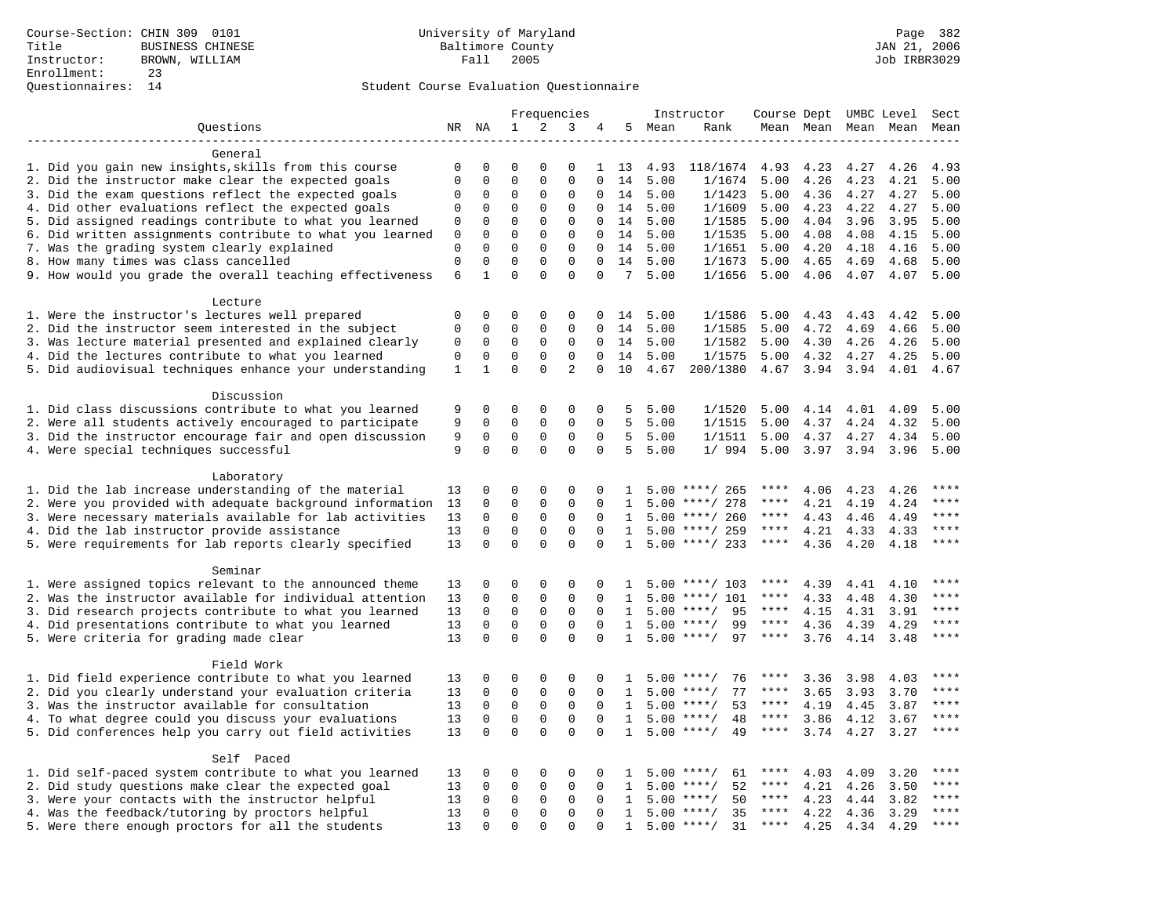|                                                           | Frequencies  |                            |                         | Instructor              |                         |                      | Course Dept UMBC Level |         | Sect               |                          |      |                     |      |             |
|-----------------------------------------------------------|--------------|----------------------------|-------------------------|-------------------------|-------------------------|----------------------|------------------------|---------|--------------------|--------------------------|------|---------------------|------|-------------|
| Questions                                                 |              | NR NA                      | 1                       | 2                       | 3                       | 4                    |                        | 5 Mean  | Rank               |                          |      | Mean Mean Mean Mean |      | Mean        |
|                                                           |              |                            |                         |                         |                         |                      |                        |         |                    |                          |      |                     |      |             |
| General                                                   |              |                            |                         |                         |                         |                      |                        |         |                    |                          |      |                     |      |             |
| 1. Did you gain new insights, skills from this course     | $\mathbf 0$  | $\mathbf 0$                | 0                       | $\Omega$                | $\Omega$                | $\mathbf{1}$         | 13                     | 4.93    | 118/1674           | 4.93                     | 4.23 | 4.27                | 4.26 | 4.93        |
| 2. Did the instructor make clear the expected goals       | $\mathbf{0}$ | $\mathbf 0$                | $\mathbf 0$             | $\mathbf{0}$            | $\mathbf 0$             | $\Omega$             | 14                     | 5.00    | 1/1674             | 5.00                     | 4.26 | 4.23                | 4.21 | 5.00        |
| 3. Did the exam questions reflect the expected goals      | $\Omega$     | $\Omega$                   | $\Omega$                | $\Omega$                | $\Omega$                | $\Omega$             | 14                     | 5.00    | 1/1423             | 5.00                     | 4.36 | 4.27                | 4.27 | 5.00        |
| 4. Did other evaluations reflect the expected goals       | $\mathbf 0$  | $\mathbf 0$                | $\mathbf 0$             | $\mathbf{0}$            | $\mathbf 0$             | 0                    | 14                     | 5.00    | 1/1609             | 5.00                     | 4.23 | 4.22                | 4.27 | 5.00        |
| 5. Did assigned readings contribute to what you learned   | $\mathbf 0$  | $\mathbf 0$                | $\mathbf 0$             | $\mathbf 0$             | $\mathbf 0$             | $\mathbf 0$          | 14                     | 5.00    | 1/1585             | 5.00                     | 4.04 | 3.96                | 3.95 | 5.00        |
| 6. Did written assignments contribute to what you learned | 0            | $\mathbf 0$                | $\mathbf 0$             | $\mathbf 0$             | 0                       | 0                    | 14                     | 5.00    | 1/1535             | 5.00                     | 4.08 | 4.08                | 4.15 | 5.00        |
| 7. Was the grading system clearly explained               | $\mathbf 0$  | $\Omega$                   | $\Omega$                | $\mathbf 0$             | $\mathbf 0$             | $\Omega$             |                        | 14 5.00 | 1/1651             | 5.00                     | 4.20 | 4.18                | 4.16 | 5.00        |
| 8. How many times was class cancelled                     | $\mathbf{0}$ | $\mathbf 0$                | $\mathbf 0$<br>$\Omega$ | $\mathbf 0$             | $\Omega$                | $\Omega$             | 14                     | 5.00    | 1/1673             | 5.00                     | 4.65 | 4.69                | 4.68 | 5.00        |
| 9. How would you grade the overall teaching effectiveness | 6            | $\mathbf{1}$               |                         | $\Omega$                | $\Omega$                | $\Omega$             |                        | 7, 5.00 | 1/1656             | 5.00                     | 4.06 | 4.07                | 4.07 | 5.00        |
| Lecture                                                   |              |                            |                         |                         |                         |                      |                        |         |                    |                          |      |                     |      |             |
| 1. Were the instructor's lectures well prepared           | $\mathbf 0$  | $\mathbf 0$                | 0                       | 0                       | 0                       | 0                    | 14                     | 5.00    | 1/1586             | 5.00                     | 4.43 | 4.43                | 4.42 | 5.00        |
| 2. Did the instructor seem interested in the subject      | $\mathbf 0$  | $\mathbf 0$                | 0                       | 0                       | 0                       | 0                    | 14                     | 5.00    | 1/1585             | 5.00                     | 4.72 | 4.69                | 4.66 | 5.00        |
| 3. Was lecture material presented and explained clearly   | $\mathbf 0$  | $\mathbf 0$                | 0                       | $\mathbf 0$             | 0                       | 0                    | 14                     | 5.00    | 1/1582             | 5.00                     | 4.30 | 4.26                | 4.26 | 5.00        |
| 4. Did the lectures contribute to what you learned        | $\mathbf{0}$ | $\mathbf 0$                | $\mathbf 0$             | $\Omega$                | $\Omega$                | $\Omega$             | 14                     | 5.00    | 1/1575             | 5.00                     | 4.32 | 4.27                | 4.25 | 5.00        |
| 5. Did audiovisual techniques enhance your understanding  | $\mathbf{1}$ | $\mathbf{1}$               | $\mathbf 0$             | $\mathbf 0$             | $\overline{2}$          | 0                    | 10                     | 4.67    | 200/1380           | 4.67                     | 3.94 | 3.94                | 4.01 | 4.67        |
|                                                           |              |                            |                         |                         |                         |                      |                        |         |                    |                          |      |                     |      |             |
| Discussion                                                |              |                            |                         |                         |                         |                      |                        |         |                    |                          |      |                     |      |             |
| 1. Did class discussions contribute to what you learned   | 9            | $\mathbf 0$                | 0                       | $\mathbf 0$             | 0                       | 0                    | 5                      | 5.00    | 1/1520             | 5.00                     | 4.14 | 4.01                | 4.09 | 5.00        |
| 2. Were all students actively encouraged to participate   | 9            | $\mathbf 0$                | $\mathbf 0$             | $\mathbf 0$             | $\mathbf 0$             | $\Omega$             | 5                      | 5.00    | 1/1515             | 5.00                     | 4.37 | 4.24                | 4.32 | 5.00        |
| 3. Did the instructor encourage fair and open discussion  | 9            | $\mathbf 0$                | $\mathbf 0$             | $\mathbf{0}$            | $\mathbf 0$             | $\Omega$             | 5                      | 5.00    | 1/1511             | 5.00                     | 4.37 | 4.27                | 4.34 | 5.00        |
| 4. Were special techniques successful                     | 9            | $\Omega$                   | $\Omega$                | $\Omega$                | $\Omega$                | $\Omega$             | 5                      | 5.00    | 1/994              | 5.00                     | 3.97 | 3.94                | 3.96 | 5.00        |
|                                                           |              |                            |                         |                         |                         |                      |                        |         |                    |                          |      |                     |      |             |
| Laboratory                                                |              |                            |                         |                         |                         |                      |                        |         |                    |                          |      |                     |      |             |
| 1. Did the lab increase understanding of the material     | 13           | $\mathbf 0$                | 0                       | $\mathbf 0$             | $\mathbf 0$             | 0                    | -1.                    |         | $5.00$ ****/ 265   | $***$ * * *              | 4.06 | 4.23                | 4.26 |             |
| 2. Were you provided with adequate background information | 13           | $\mathbf 0$                | $\mathbf 0$             | $\mathbf 0$             | $\mathbf{0}$            | $\Omega$             | 1                      |         | $5.00$ ****/ 278   | ****                     | 4.21 | 4.19                | 4.24 | ****        |
| 3. Were necessary materials available for lab activities  | 13           | $\Omega$                   | $\Omega$                | $\Omega$                | $\Omega$                | $\Omega$             | $\mathbf{1}$           |         | $5.00$ ****/ 260   | $***$ * * *              | 4.43 | 4.46                | 4.49 | $***$ * * * |
| 4. Did the lab instructor provide assistance              | 13           | $\mathbf 0$                | $\mathbf 0$             | $\mathbf{0}$            | $\mathbf 0$             | $\mathbf 0$          | $\mathbf{1}$           |         | $5.00$ ****/ 259   | $***$ * * *              | 4.21 | 4.33                | 4.33 | $***$       |
| 5. Were requirements for lab reports clearly specified    | 13           | $\mathbf 0$                | $\mathbf 0$             | $\Omega$                | $\Omega$                | $\Omega$             | $\mathbf{1}$           |         | $5.00$ ****/ 233   | $***$ * *                | 4.36 | 4.20                | 4.18 |             |
|                                                           |              |                            |                         |                         |                         |                      |                        |         |                    |                          |      |                     |      |             |
| Seminar                                                   |              |                            |                         |                         |                         |                      |                        |         |                    |                          |      |                     |      | ****        |
| 1. Were assigned topics relevant to the announced theme   | 13           | $\mathbf 0$                | $\mathbf 0$             | $\mathbf{0}$            | $\Omega$                | $\Omega$             | 1.                     |         | $5.00$ ****/ 103   | ****<br>****             | 4.39 | 4.41                | 4.10 | ****        |
| 2. Was the instructor available for individual attention  | 13           | $\mathbf 0$                | $\mathbf 0$             | $\mathbf 0$             | $\mathbf 0$             | $\Omega$             | 1                      |         | $5.00$ ****/ 101   |                          | 4.33 | 4.48                | 4.30 | $***$       |
| 3. Did research projects contribute to what you learned   | 13           | $\mathbf 0$                | $\mathbf 0$             | $\mathsf 0$             | $\mathbf 0$             | $\mathbf 0$          | $\mathbf{1}$           |         | $5.00$ ****/<br>95 | $***$ * *<br>$***$ * * * | 4.15 | 4.31                | 3.91 | $***$       |
| 4. Did presentations contribute to what you learned       | 13           | $\mathbf 0$<br>$\mathbf 0$ | $\mathbf 0$<br>$\Omega$ | $\mathbf 0$<br>$\Omega$ | $\mathbf 0$<br>$\Omega$ | $\Omega$<br>$\Omega$ | $\mathbf{1}$           | 5.00    | 99<br>$***/$<br>97 | $***$ * * *              | 4.36 | 4.39                | 4.29 | $***$       |
| 5. Were criteria for grading made clear                   | 13           |                            |                         |                         |                         |                      | $\mathbf{1}$           |         | $5.00$ ****/       |                          | 3.76 | 4.14                | 3.48 |             |
| Field Work                                                |              |                            |                         |                         |                         |                      |                        |         |                    |                          |      |                     |      |             |
| 1. Did field experience contribute to what you learned    | 13           | $\mathbf 0$                | 0                       | $\mathbf 0$             | $\mathbf 0$             | $\Omega$             | -1.                    |         | $5.00$ ****/<br>76 | ****                     | 3.36 | 3.98                | 4.03 | * * * *     |
| 2. Did you clearly understand your evaluation criteria    | 13           | $\Omega$                   | $\mathbf 0$             | $\Omega$                | $\Omega$                | $\Omega$             | $\mathbf{1}$           | 5.00    | 77<br>$***/$       | ****                     | 3.65 | 3.93                | 3.70 | $***$       |
| 3. Was the instructor available for consultation          | 13           | $\mathbf 0$                | $\mathbf 0$             | $\mathsf 0$             | $\mathbf 0$             | $\mathbf{0}$         | $\mathbf{1}$           |         | $5.00$ ****/<br>53 | $***$ * *                | 4.19 | 4.45                | 3.87 | $***$       |
| 4. To what degree could you discuss your evaluations      | 13           | $\mathbf 0$                | $\mathbf 0$             | $\mathbf 0$             | $\mathbf 0$             | $\mathbf 0$          | 1                      |         | $5.00$ ****/<br>48 | $***$ * * *              | 3.86 | 4.12                | 3.67 | $***$       |
| 5. Did conferences help you carry out field activities    | 13           | $\Omega$                   | $\Omega$                | $\Omega$                | $\Omega$                | $\Omega$             | $\mathbf{1}$           | 5.00    | $***/$<br>49       | $***$ * * *              | 3.74 | 4.27                | 3.27 | $***$       |
|                                                           |              |                            |                         |                         |                         |                      |                        |         |                    |                          |      |                     |      |             |
| Self Paced                                                |              |                            |                         |                         |                         |                      |                        |         |                    |                          |      |                     |      |             |
| 1. Did self-paced system contribute to what you learned   | 13           | $\mathbf 0$                | $\mathbf 0$             | $\mathbf{0}$            | 0                       | $\Omega$             | $\mathbf{1}$           |         | 61<br>$5.00$ ****/ | ****                     | 4.03 | 4.09                | 3.20 | ****        |
| 2. Did study questions make clear the expected goal       | 13           | $\mathbf 0$                | 0                       | $\mathbf 0$             | $\mathbf 0$             | $\mathbf{0}$         | 1                      |         | $5.00$ ****/<br>52 | $***$ * *                | 4.21 | 4.26                | 3.50 | $***$       |
| 3. Were your contacts with the instructor helpful         | 13           | $\mathbf 0$                | $\mathbf 0$             | $\mathbf 0$             | 0                       | 0                    | 1                      | 5.00    | 50<br>$***/$       | ****                     | 4.23 | 4.44                | 3.82 | ****        |
| 4. Was the feedback/tutoring by proctors helpful          | 13           | $\mathbf 0$                | $\mathbf 0$             | $\mathbf 0$             | $\mathbf 0$             | $\Omega$             | $\mathbf{1}$           | 5.00    | $***/$<br>35       | ****                     | 4.22 | 4.36                | 3.29 | ****        |
| 5. Were there enough proctors for all the students        | 13           | $\mathbf 0$                | $\Omega$                | $\Omega$                | $\Omega$                |                      | $\mathbf{1}$           |         | $5.00$ ****/<br>31 | $***$ * * *              | 4.25 | 4.34                | 4.29 | ****        |
|                                                           |              |                            |                         |                         |                         |                      |                        |         |                    |                          |      |                     |      |             |